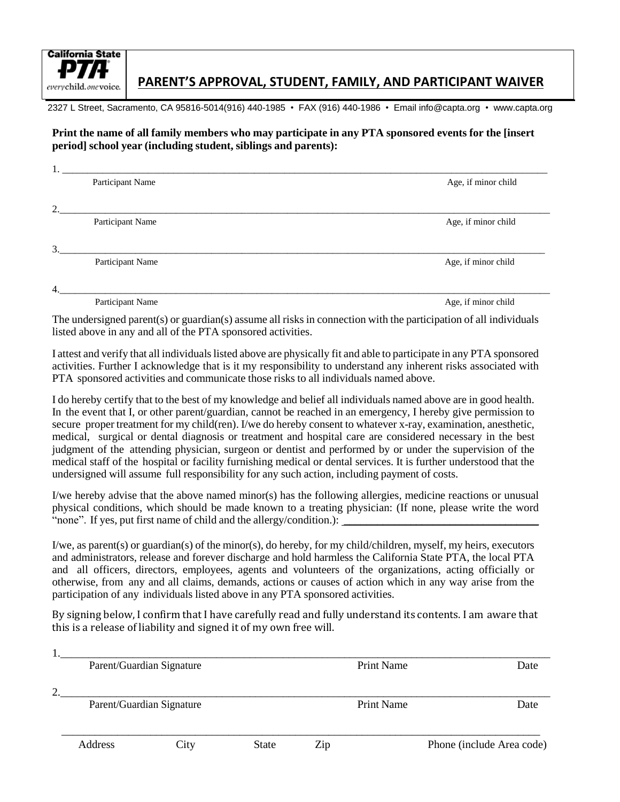## **PARENT'S APPROVAL, STUDENT, FAMILY, AND PARTICIPANT WAIVER**

2327 L Street, Sacramento, CA 95816-5014(916) 440-1985 • FAX (916) 440-1986 • Email [info@capta.org](mailto:info@capta.org) • [www.capta.org](http://www.capta.org/)

#### Print the name of all family members who may participate in any PTA sponsored events for the [insert **period] school year (including student, siblings and parents):**

| Participant Name | Age, if minor child |
|------------------|---------------------|
|                  |                     |
| Participant Name | Age, if minor child |
|                  |                     |
| Participant Name | Age, if minor child |
|                  |                     |

Participant Name Age, if minor child

The undersigned parent(s) or guardian(s) assume all risks in connection with the participation of all individuals listed above in any and all of the PTA sponsored activities.

I attest and verify that all individualslisted above are physically fit and able to participate in any PTA sponsored activities. Further I acknowledge that is it my responsibility to understand any inherent risks associated with PTA sponsored activities and communicate those risks to all individuals named above.

I do hereby certify that to the best of my knowledge and belief all individuals named above are in good health. In the event that I, or other parent/guardian, cannot be reached in an emergency, I hereby give permission to secure proper treatment for my child(ren). I/we do hereby consent to whatever x-ray, examination, anesthetic, medical, surgical or dental diagnosis or treatment and hospital care are considered necessary in the best judgment of the attending physician, surgeon or dentist and performed by or under the supervision of the medical staff of the hospital or facility furnishing medical or dental services. It is further understood that the undersigned will assume full responsibility for any such action, including payment of costs.

I/we hereby advise that the above named minor(s) has the following allergies, medicine reactions or unusual physical conditions, which should be made known to a treating physician: (If none, please write the word "none". If yes, put first name of child and the allergy/condition.):

I/we, as parent(s) or guardian(s) of the minor(s), do hereby, for my child/children, myself, my heirs, executors and administrators, release and forever discharge and hold harmless the California State PTA, the local PTA and all officers, directors, employees, agents and volunteers of the organizations, acting officially or otherwise, from any and all claims, demands, actions or causes of action which in any way arise from the participation of any individuals listed above in any PTA sponsored activities.

By signing below, I confirm that I have carefully read and fully understand its contents. I am aware that this is a release of liability and signed it of my own free will.

|         | Parent/Guardian Signature |       |     | <b>Print Name</b> | Date                      |
|---------|---------------------------|-------|-----|-------------------|---------------------------|
|         |                           |       |     |                   |                           |
|         | Parent/Guardian Signature |       |     | <b>Print Name</b> | Date                      |
|         |                           |       |     |                   |                           |
| Address | $\cup$ 1tv                | State | Z1D |                   | Phone (include Area code) |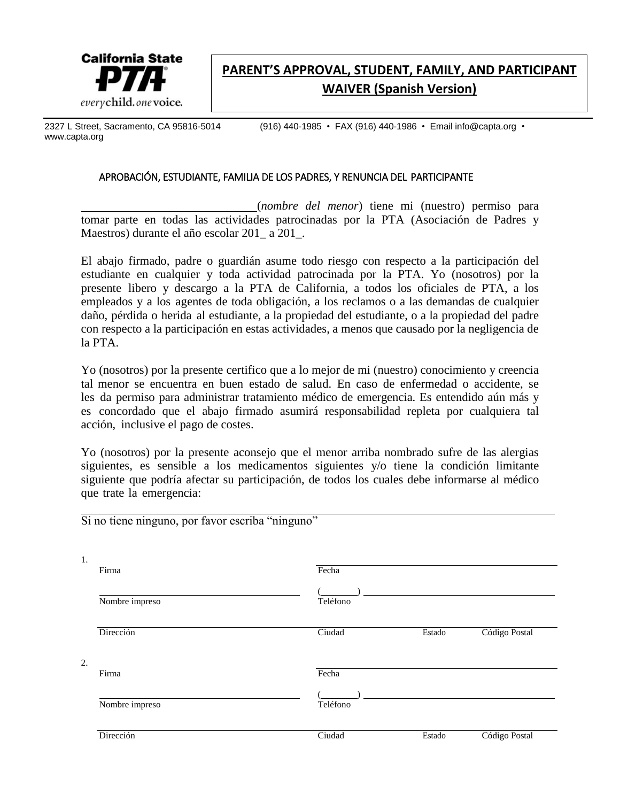

# **PARENT'S APPROVAL, STUDENT, FAMILY, AND PARTICIPANT WAIVER (Spanish Version)**

[www.capta.org](http://www.capta.org/)

2327 L Street, Sacramento, CA 95816-5014 (916) 440-1985 • FAX (916) 440-1986 • Email [info@capta.org](mailto:info@capta.org) •

#### APROBACIÓN, ESTUDIANTE, FAMILIA DE LOS PADRES, Y RENUNCIA DEL PARTICIPANTE

(*nombre del menor*) tiene mi (nuestro) permiso para tomar parte en todas las actividades patrocinadas por la PTA (Asociación de Padres y Maestros) durante el año escolar 201\_ a 201\_.

El abajo firmado, padre o guardián asume todo riesgo con respecto a la participación del estudiante en cualquier y toda actividad patrocinada por la PTA. Yo (nosotros) por la presente libero y descargo a la PTA de California, a todos los oficiales de PTA, a los empleados y a los agentes de toda obligación, a los reclamos o a las demandas de cualquier daño, pérdida o herida al estudiante, a la propiedad del estudiante, o a la propiedad del padre con respecto a la participación en estas actividades, a menos que causado por la negligencia de la PTA.

Yo (nosotros) por la presente certifico que a lo mejor de mi (nuestro) conocimiento y creencia tal menor se encuentra en buen estado de salud. En caso de enfermedad o accidente, se les da permiso para administrar tratamiento médico de emergencia. Es entendido aún más y es concordado que el abajo firmado asumirá responsabilidad repleta por cualquiera tal acción, inclusive el pago de costes.

Yo (nosotros) por la presente aconsejo que el menor arriba nombrado sufre de las alergias siguientes, es sensible a los medicamentos siguientes y/o tiene la condición limitante siguiente que podría afectar su participación, de todos los cuales debe informarse al médico que trate la emergencia:

Si no tiene ninguno, por favor escriba "ninguno"

| 1. | Firma          | Fecha    |        |               |
|----|----------------|----------|--------|---------------|
|    |                |          |        |               |
|    |                |          |        |               |
|    | Nombre impreso | Teléfono |        |               |
|    |                |          |        |               |
|    | Dirección      | Ciudad   | Estado | Código Postal |
|    |                |          |        |               |
| 2. |                |          |        |               |
|    | Firma          | Fecha    |        |               |
|    |                |          |        |               |
|    | Nombre impreso | Teléfono |        |               |
|    |                |          |        |               |
|    | Dirección      | Ciudad   | Estado | Código Postal |
|    |                |          |        |               |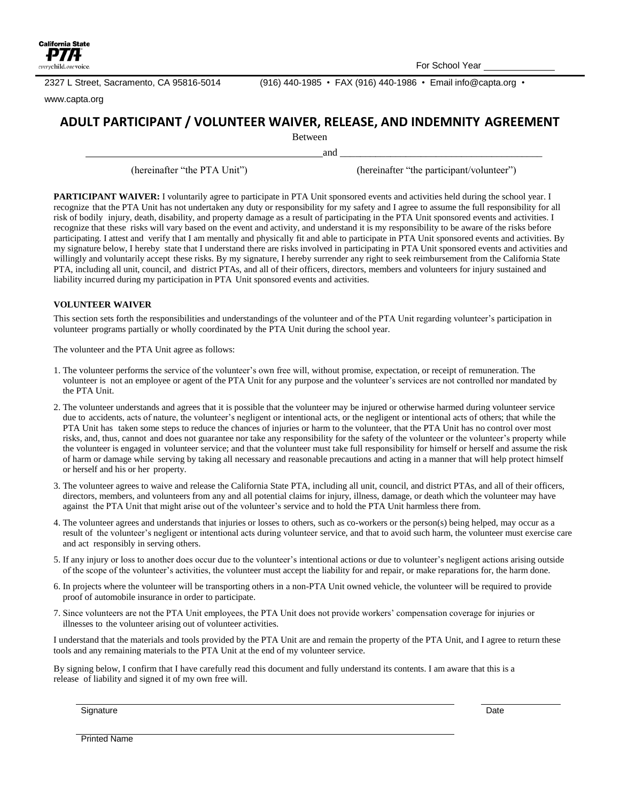

2327 L Street, Sacramento, CA 95816-5014 (916) 440-1985 • FAX (916) 440-1986 • Email info@capta.org

[www.capta.org](http://www.capta.org/)

### **ADULT PARTICIPANT / VOLUNTEER WAIVER, RELEASE, AND INDEMNITY AGREEMENT**

Between

(hereinafter "the PTA Unit") (hereinafter "the participant/volunteer")

and \_\_\_\_\_\_\_\_\_\_\_\_\_\_\_\_\_\_\_\_\_\_\_\_\_\_\_\_\_\_\_\_\_\_\_\_\_\_\_\_

**PARTICIPANT WAIVER:** I voluntarily agree to participate in PTA Unit sponsored events and activities held during the school year. I recognize that the PTA Unit has not undertaken any duty or responsibility for my safety and I agree to assume the full responsibility for all risk of bodily injury, death, disability, and property damage as a result of participating in the PTA Unit sponsored events and activities. I recognize that these risks will vary based on the event and activity, and understand it is my responsibility to be aware of the risks before participating. I attest and verify that I am mentally and physically fit and able to participate in PTA Unit sponsored events and activities. By my signature below, I hereby state that I understand there are risks involved in participating in PTA Unit sponsored events and activities and willingly and voluntarily accept these risks. By my signature, I hereby surrender any right to seek reimbursement from the California State PTA, including all unit, council, and district PTAs, and all of their officers, directors, members and volunteers for injury sustained and liability incurred during my participation in PTA Unit sponsored events and activities.

#### **VOLUNTEER WAIVER**

This section sets forth the responsibilities and understandings of the volunteer and of the PTA Unit regarding volunteer's participation in volunteer programs partially or wholly coordinated by the PTA Unit during the school year.

The volunteer and the PTA Unit agree as follows:

- 1. The volunteer performs the service of the volunteer's own free will, without promise, expectation, or receipt of remuneration. The volunteer is not an employee or agent of the PTA Unit for any purpose and the volunteer's services are not controlled nor mandated by the PTA Unit.
- 2. The volunteer understands and agrees that it is possible that the volunteer may be injured or otherwise harmed during volunteer service due to accidents, acts of nature, the volunteer's negligent or intentional acts, or the negligent or intentional acts of others; that while the PTA Unit has taken some steps to reduce the chances of injuries or harm to the volunteer, that the PTA Unit has no control over most risks, and, thus, cannot and does not guarantee nor take any responsibility for the safety of the volunteer or the volunteer's property while the volunteer is engaged in volunteer service; and that the volunteer must take full responsibility for himself or herself and assume the risk of harm or damage while serving by taking all necessary and reasonable precautions and acting in a manner that will help protect himself or herself and his or her property.
- 3. The volunteer agrees to waive and release the California State PTA, including all unit, council, and district PTAs, and all of their officers, directors, members, and volunteers from any and all potential claims for injury, illness, damage, or death which the volunteer may have against the PTA Unit that might arise out of the volunteer's service and to hold the PTA Unit harmless there from.
- 4. The volunteer agrees and understands that injuries or losses to others, such as co-workers or the person(s) being helped, may occur as a result of the volunteer's negligent or intentional acts during volunteer service, and that to avoid such harm, the volunteer must exercise care and act responsibly in serving others.
- 5. If any injury or loss to another does occur due to the volunteer's intentional actions or due to volunteer's negligent actions arising outside of the scope of the volunteer's activities, the volunteer must accept the liability for and repair, or make reparations for, the harm done.
- 6. In projects where the volunteer will be transporting others in a non-PTA Unit owned vehicle, the volunteer will be required to provide proof of automobile insurance in order to participate.
- 7. Since volunteers are not the PTA Unit employees, the PTA Unit does not provide workers' compensation coverage for injuries or illnesses to the volunteer arising out of volunteer activities.

I understand that the materials and tools provided by the PTA Unit are and remain the property of the PTA Unit, and I agree to return these tools and any remaining materials to the PTA Unit at the end of my volunteer service.

By signing below, I confirm that I have carefully read this document and fully understand its contents. I am aware that this is a release of liability and signed it of my own free will.

Signature Date **Date of the Contract of Contract Contract of Contract Contract Contract Only and Date Only and D** 

Printed Name